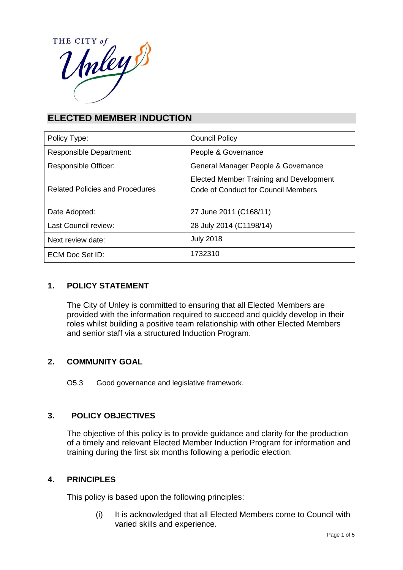

# **ELECTED MEMBER INDUCTION**

| Policy Type:                           | <b>Council Policy</b>                                                          |  |
|----------------------------------------|--------------------------------------------------------------------------------|--|
| <b>Responsible Department:</b>         | People & Governance                                                            |  |
| Responsible Officer:                   | General Manager People & Governance                                            |  |
| <b>Related Policies and Procedures</b> | Elected Member Training and Development<br>Code of Conduct for Council Members |  |
| Date Adopted:                          | 27 June 2011 (C168/11)                                                         |  |
| Last Council review:                   | 28 July 2014 (C1198/14)                                                        |  |
| Next review date:                      | <b>July 2018</b>                                                               |  |
| ECM Doc Set ID:                        | 1732310                                                                        |  |

### **1. POLICY STATEMENT**

The City of Unley is committed to ensuring that all Elected Members are provided with the information required to succeed and quickly develop in their roles whilst building a positive team relationship with other Elected Members and senior staff via a structured Induction Program.

## **2. COMMUNITY GOAL**

O5.3 Good governance and legislative framework.

### **3. POLICY OBJECTIVES**

The objective of this policy is to provide guidance and clarity for the production of a timely and relevant Elected Member Induction Program for information and training during the first six months following a periodic election.

### **4. PRINCIPLES**

This policy is based upon the following principles:

(i) It is acknowledged that all Elected Members come to Council with varied skills and experience.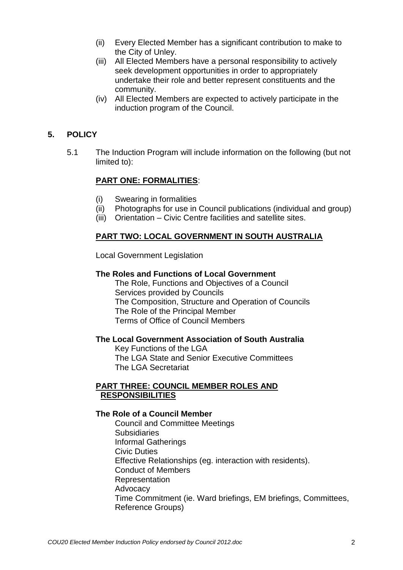- (ii) Every Elected Member has a significant contribution to make to the City of Unley.
- (iii) All Elected Members have a personal responsibility to actively seek development opportunities in order to appropriately undertake their role and better represent constituents and the community.
- (iv) All Elected Members are expected to actively participate in the induction program of the Council.

### **5. POLICY**

5.1 The Induction Program will include information on the following (but not limited to):

#### **PART ONE: FORMALITIES**:

- (i) Swearing in formalities
- (ii) Photographs for use in Council publications (individual and group)
- (iii) Orientation Civic Centre facilities and satellite sites.

### **PART TWO: LOCAL GOVERNMENT IN SOUTH AUSTRALIA**

Local Government Legislation

#### **The Roles and Functions of Local Government**

The Role, Functions and Objectives of a Council Services provided by Councils The Composition, Structure and Operation of Councils The Role of the Principal Member Terms of Office of Council Members

#### **The Local Government Association of South Australia**

Key Functions of the LGA The LGA State and Senior Executive Committees The LGA Secretariat

#### **PART THREE: COUNCIL MEMBER ROLES AND RESPONSIBILITIES**

#### **The Role of a Council Member**

Council and Committee Meetings **Subsidiaries** Informal Gatherings Civic Duties Effective Relationships (eg. interaction with residents). Conduct of Members Representation Advocacy Time Commitment (ie. Ward briefings, EM briefings, Committees, Reference Groups)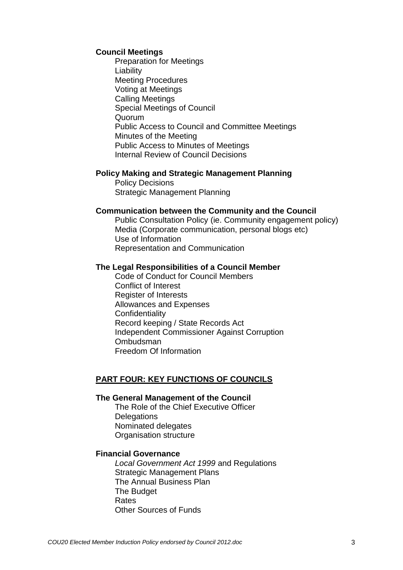#### **Council Meetings**

Preparation for Meetings Liability Meeting Procedures Voting at Meetings Calling Meetings Special Meetings of Council Quorum Public Access to Council and Committee Meetings Minutes of the Meeting Public Access to Minutes of Meetings Internal Review of Council Decisions

#### **Policy Making and Strategic Management Planning**

Policy Decisions Strategic Management Planning

#### **Communication between the Community and the Council**

Public Consultation Policy (ie. Community engagement policy) Media (Corporate communication, personal blogs etc) Use of Information Representation and Communication

#### **The Legal Responsibilities of a Council Member**

Code of Conduct for Council Members Conflict of Interest Register of Interests Allowances and Expenses **Confidentiality** Record keeping / State Records Act Independent Commissioner Against Corruption Ombudsman Freedom Of Information

#### **PART FOUR: KEY FUNCTIONS OF COUNCILS**

#### **The General Management of the Council**

The Role of the Chief Executive Officer **Delegations** Nominated delegates Organisation structure

#### **Financial Governance**

*Local Government Act 1999* and Regulations Strategic Management Plans The Annual Business Plan The Budget Rates Other Sources of Funds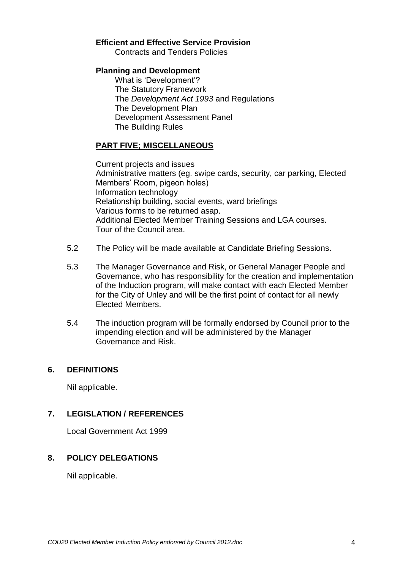#### **Efficient and Effective Service Provision**

Contracts and Tenders Policies

### **Planning and Development**

What is 'Development'? The Statutory Framework The *Development Act 1993* and Regulations The Development Plan Development Assessment Panel The Building Rules

### **PART FIVE; MISCELLANEOUS**

Current projects and issues Administrative matters (eg. swipe cards, security, car parking, Elected Members' Room, pigeon holes) Information technology Relationship building, social events, ward briefings Various forms to be returned asap. Additional Elected Member Training Sessions and LGA courses. Tour of the Council area.

- 5.2 The Policy will be made available at Candidate Briefing Sessions.
- 5.3 The Manager Governance and Risk, or General Manager People and Governance, who has responsibility for the creation and implementation of the Induction program, will make contact with each Elected Member for the City of Unley and will be the first point of contact for all newly Elected Members.
- 5.4 The induction program will be formally endorsed by Council prior to the impending election and will be administered by the Manager Governance and Risk.

### **6. DEFINITIONS**

Nil applicable.

### **7. LEGISLATION / REFERENCES**

Local Government Act 1999

### **8. POLICY DELEGATIONS**

Nil applicable.